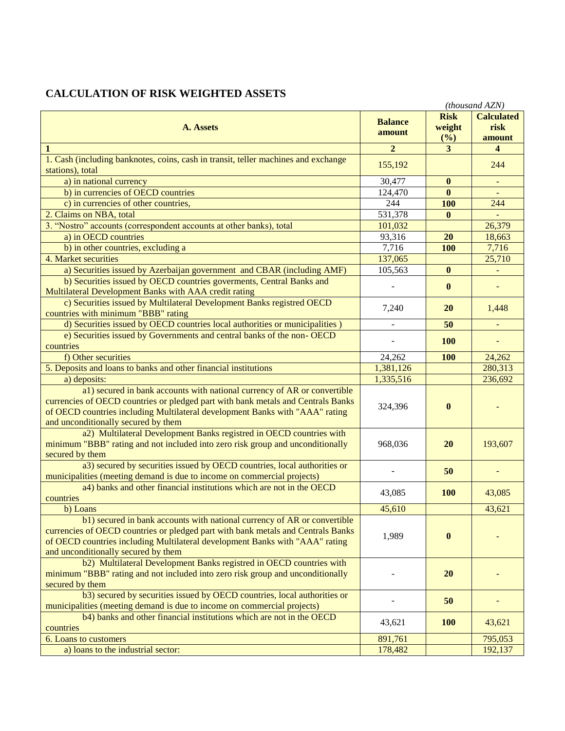## **CALCULATION OF RISK WEIGHTED ASSETS**

|                                                                                                                                                                                                                                                                                     |                          |                              | (thousand AZN)                      |
|-------------------------------------------------------------------------------------------------------------------------------------------------------------------------------------------------------------------------------------------------------------------------------------|--------------------------|------------------------------|-------------------------------------|
| A. Assets                                                                                                                                                                                                                                                                           | <b>Balance</b><br>amount | <b>Risk</b><br>weight<br>(%) | <b>Calculated</b><br>risk<br>amount |
| $\mathbf{1}$                                                                                                                                                                                                                                                                        | $\overline{2}$           | 3 <sup>1</sup>               | $\overline{\mathbf{4}}$             |
| 1. Cash (including banknotes, coins, cash in transit, teller machines and exchange<br>stations), total                                                                                                                                                                              | 155,192                  |                              | 244                                 |
| a) in national currency                                                                                                                                                                                                                                                             | 30,477                   | $\bf{0}$                     | $\equiv$                            |
| b) in currencies of OECD countries                                                                                                                                                                                                                                                  | 124,470                  | $\mathbf{0}$                 | $\equiv$                            |
| c) in currencies of other countries,                                                                                                                                                                                                                                                | 244                      | <b>100</b>                   | 244                                 |
| 2. Claims on NBA, total                                                                                                                                                                                                                                                             | 531,378                  | $\bf{0}$                     | $\equiv$                            |
| 3. "Nostro" accounts (correspondent accounts at other banks), total                                                                                                                                                                                                                 | 101,032                  |                              | 26,379                              |
| a) in OECD countries                                                                                                                                                                                                                                                                | 93,316                   | 20                           | 18,663                              |
| b) in other countries, excluding a                                                                                                                                                                                                                                                  | 7,716                    | <b>100</b>                   | 7,716                               |
| 4. Market securities                                                                                                                                                                                                                                                                | 137,065                  |                              | 25,710                              |
| a) Securities issued by Azerbaijan government and CBAR (including AMF)                                                                                                                                                                                                              | 105,563                  | $\bf{0}$                     | $\blacksquare$                      |
| b) Securities issued by OECD countries governents, Central Banks and                                                                                                                                                                                                                |                          | $\mathbf{0}$                 |                                     |
| Multilateral Development Banks with AAA credit rating                                                                                                                                                                                                                               |                          |                              |                                     |
| c) Securities issued by Multilateral Development Banks registred OECD<br>countries with minimum "BBB" rating                                                                                                                                                                        | 7,240                    | <b>20</b>                    | 1,448                               |
| d) Securities issued by OECD countries local authorities or municipalities )                                                                                                                                                                                                        | $\blacksquare$           | 50                           | ÷                                   |
| e) Securities issued by Governments and central banks of the non-OECD<br>countries                                                                                                                                                                                                  |                          | <b>100</b>                   | ÷,                                  |
| f) Other securities                                                                                                                                                                                                                                                                 | 24,262                   | 100                          | 24,262                              |
| 5. Deposits and loans to banks and other financial institutions                                                                                                                                                                                                                     | 1,381,126                |                              | 280,313                             |
| a) deposits:                                                                                                                                                                                                                                                                        | 1,335,516                |                              | 236,692                             |
| a1) secured in bank accounts with national currency of AR or convertible<br>currencies of OECD countries or pledged part with bank metals and Centrals Banks<br>of OECD countries including Multilateral development Banks with "AAA" rating<br>and unconditionally secured by them | 324,396                  | $\bf{0}$                     |                                     |
| a2) Multilateral Development Banks registred in OECD countries with<br>minimum "BBB" rating and not included into zero risk group and unconditionally<br>secured by them                                                                                                            | 968,036                  | 20                           | 193,607                             |
| a3) secured by securities issued by OECD countries, local authorities or<br>municipalities (meeting demand is due to income on commercial projects)                                                                                                                                 |                          | 50                           |                                     |
| a4) banks and other financial institutions which are not in the OECD                                                                                                                                                                                                                |                          |                              |                                     |
| countries                                                                                                                                                                                                                                                                           | 43,085                   | <b>100</b>                   | 43,085                              |
| b) Loans                                                                                                                                                                                                                                                                            | 45,610                   |                              | 43,621                              |
| b1) secured in bank accounts with national currency of AR or convertible<br>currencies of OECD countries or pledged part with bank metals and Centrals Banks<br>of OECD countries including Multilateral development Banks with "AAA" rating<br>and unconditionally secured by them | 1,989                    | $\bf{0}$                     |                                     |
| b2) Multilateral Development Banks registred in OECD countries with<br>minimum "BBB" rating and not included into zero risk group and unconditionally<br>secured by them                                                                                                            |                          | <b>20</b>                    |                                     |
| b3) secured by securities issued by OECD countries, local authorities or<br>municipalities (meeting demand is due to income on commercial projects)                                                                                                                                 |                          | 50                           |                                     |
| b4) banks and other financial institutions which are not in the OECD<br>countries                                                                                                                                                                                                   | 43,621                   | <b>100</b>                   | 43,621                              |
| 6. Loans to customers                                                                                                                                                                                                                                                               | 891,761                  |                              | 795,053                             |
| a) loans to the industrial sector:                                                                                                                                                                                                                                                  | 178,482                  |                              | 192,137                             |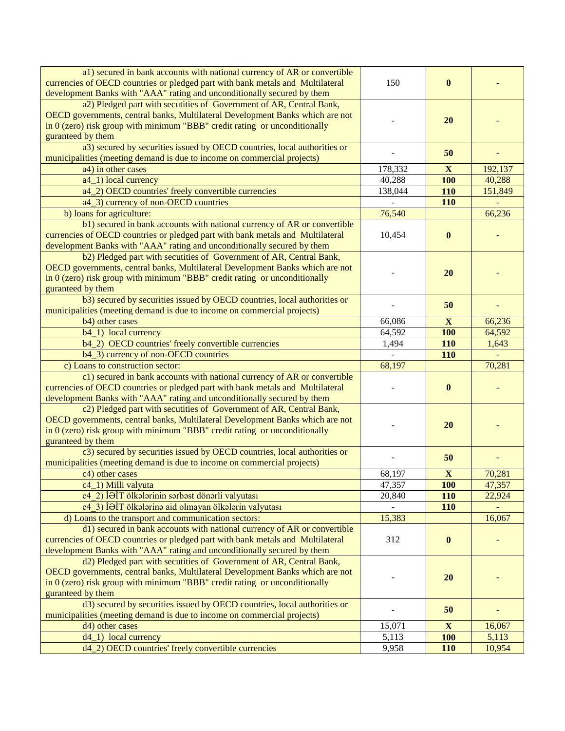| a1) secured in bank accounts with national currency of AR or convertible<br>currencies of OECD countries or pledged part with bank metals and Multilateral<br>development Banks with "AAA" rating and unconditionally secured by them                     | 150     | $\mathbf{0}$     |         |
|-----------------------------------------------------------------------------------------------------------------------------------------------------------------------------------------------------------------------------------------------------------|---------|------------------|---------|
| a2) Pledged part with secutities of Government of AR, Central Bank,<br>OECD governments, central banks, Multilateral Development Banks which are not<br>in $0$ (zero) risk group with minimum "BBB" credit rating or unconditionally<br>guranteed by them |         | 20               |         |
| a3) secured by securities issued by OECD countries, local authorities or<br>municipalities (meeting demand is due to income on commercial projects)                                                                                                       |         | 50               |         |
| a4) in other cases                                                                                                                                                                                                                                        | 178,332 | $\mathbf{X}$     | 192,137 |
| a4_1) local currency                                                                                                                                                                                                                                      | 40,288  | <b>100</b>       | 40,288  |
| a4_2) OECD countries' freely convertible currencies                                                                                                                                                                                                       | 138,044 | 110              | 151,849 |
| a4_3) currency of non-OECD countries                                                                                                                                                                                                                      |         | 110              |         |
| b) loans for agriculture:                                                                                                                                                                                                                                 | 76,540  |                  | 66,236  |
| b1) secured in bank accounts with national currency of AR or convertible<br>currencies of OECD countries or pledged part with bank metals and Multilateral<br>development Banks with "AAA" rating and unconditionally secured by them                     | 10,454  | $\bf{0}$         |         |
| b2) Pledged part with secutities of Government of AR, Central Bank,<br>OECD governments, central banks, Multilateral Development Banks which are not<br>in $0$ (zero) risk group with minimum "BBB" credit rating or unconditionally<br>guranteed by them |         | 20               |         |
| b3) secured by securities issued by OECD countries, local authorities or<br>municipalities (meeting demand is due to income on commercial projects)                                                                                                       |         | 50               |         |
| b4) other cases                                                                                                                                                                                                                                           | 66,086  | $\mathbf{X}$     | 66,236  |
| b4_1) local currency                                                                                                                                                                                                                                      | 64,592  | <b>100</b>       | 64,592  |
| b4_2) OECD countries' freely convertible currencies                                                                                                                                                                                                       | 1,494   | 110              | 1,643   |
| b4_3) currency of non-OECD countries                                                                                                                                                                                                                      |         | 110              |         |
| c) Loans to construction sector:                                                                                                                                                                                                                          | 68,197  |                  | 70,281  |
|                                                                                                                                                                                                                                                           |         |                  |         |
| c1) secured in bank accounts with national currency of AR or convertible<br>currencies of OECD countries or pledged part with bank metals and Multilateral<br>development Banks with "AAA" rating and unconditionally secured by them                     |         | $\bf{0}$         |         |
| c2) Pledged part with secutities of Government of AR, Central Bank,<br>OECD governments, central banks, Multilateral Development Banks which are not<br>in $0$ (zero) risk group with minimum "BBB" credit rating or unconditionally<br>guranteed by them |         | 20               |         |
| c3) secured by securities issued by OECD countries, local authorities or<br>municipalities (meeting demand is due to income on commercial projects)                                                                                                       |         | 50               |         |
| $\overline{c4)}$ other cases                                                                                                                                                                                                                              | 68,197  | $\mathbf{X}$     | 70,281  |
| c4_1) Milli valyuta                                                                                                                                                                                                                                       | 47,357  | <b>100</b>       | 47,357  |
| c4 2) İƏİT ölkələrinin sərbəst dönərli valyutası                                                                                                                                                                                                          | 20,840  | 110              | 22,924  |
| c4 3) İƏİT ölkələrinə aid olmayan ölkələrin valyutası                                                                                                                                                                                                     |         | 110              |         |
| d) Loans to the transport and communication sectors:                                                                                                                                                                                                      | 15,383  |                  | 16,067  |
| d1) secured in bank accounts with national currency of AR or convertible<br>currencies of OECD countries or pledged part with bank metals and Multilateral<br>development Banks with "AAA" rating and unconditionally secured by them                     | 312     | $\boldsymbol{0}$ |         |
| d2) Pledged part with secutities of Government of AR, Central Bank,<br>OECD governments, central banks, Multilateral Development Banks which are not<br>in $0$ (zero) risk group with minimum "BBB" credit rating or unconditionally<br>guranteed by them |         | 20               |         |
| d3) secured by securities issued by OECD countries, local authorities or<br>municipalities (meeting demand is due to income on commercial projects)                                                                                                       |         | 50               |         |
| d4) other cases                                                                                                                                                                                                                                           | 15,071  | $\mathbf{X}$     | 16,067  |
| $d4_1)$ local currency                                                                                                                                                                                                                                    | 5,113   | <b>100</b>       | 5,113   |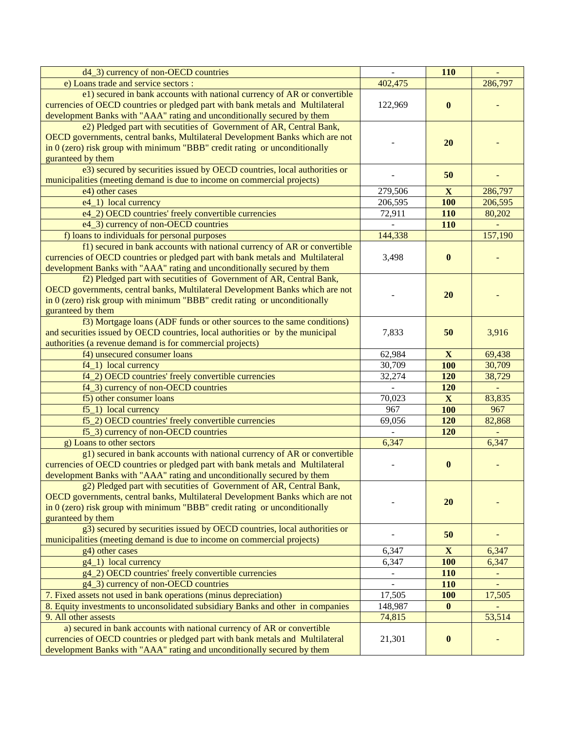| d4_3) currency of non-OECD countries                                                                                                                                                                                                                      |                          | 110          |          |
|-----------------------------------------------------------------------------------------------------------------------------------------------------------------------------------------------------------------------------------------------------------|--------------------------|--------------|----------|
| e) Loans trade and service sectors :                                                                                                                                                                                                                      | 402,475                  |              | 286,797  |
| e1) secured in bank accounts with national currency of AR or convertible<br>currencies of OECD countries or pledged part with bank metals and Multilateral<br>development Banks with "AAA" rating and unconditionally secured by them                     | 122,969                  | $\bf{0}$     |          |
| e2) Pledged part with secutities of Government of AR, Central Bank,<br>OECD governments, central banks, Multilateral Development Banks which are not<br>in $0$ (zero) risk group with minimum "BBB" credit rating or unconditionally<br>guranteed by them |                          | <b>20</b>    |          |
| e3) secured by securities issued by OECD countries, local authorities or<br>municipalities (meeting demand is due to income on commercial projects)                                                                                                       |                          | 50           |          |
| e4) other cases                                                                                                                                                                                                                                           | 279,506                  | $\mathbf{X}$ | 286,797  |
| e4_1) local currency                                                                                                                                                                                                                                      | 206,595                  | <b>100</b>   | 206,595  |
| e4_2) OECD countries' freely convertible currencies                                                                                                                                                                                                       | 72,911                   | 110          | 80,202   |
| e4_3) currency of non-OECD countries                                                                                                                                                                                                                      |                          | 110          |          |
| f) loans to individuals for personal purposes                                                                                                                                                                                                             | 144,338                  |              | 157,190  |
| f1) secured in bank accounts with national currency of AR or convertible<br>currencies of OECD countries or pledged part with bank metals and Multilateral<br>development Banks with "AAA" rating and unconditionally secured by them                     | 3,498                    | $\bf{0}$     |          |
| f2) Pledged part with secutities of Government of AR, Central Bank,<br>OECD governments, central banks, Multilateral Development Banks which are not<br>in $0$ (zero) risk group with minimum "BBB" credit rating or unconditionally<br>guranteed by them |                          | <b>20</b>    |          |
| f3) Mortgage loans (ADF funds or other sources to the same conditions)<br>and securities issued by OECD countries, local authorities or by the municipal<br>authorities (a revenue demand is for commercial projects)                                     | 7,833                    | 50           | 3,916    |
| f4) unsecured consumer loans                                                                                                                                                                                                                              | 62,984                   | $\mathbf{X}$ | 69,438   |
| f4_1) local currency                                                                                                                                                                                                                                      | 30,709                   | <b>100</b>   | 30,709   |
| f4_2) OECD countries' freely convertible currencies                                                                                                                                                                                                       | 32,274                   | 120          | 38,729   |
| f4_3) currency of non-OECD countries                                                                                                                                                                                                                      |                          | 120          |          |
| f5) other consumer loans                                                                                                                                                                                                                                  | 70,023                   | $\mathbf X$  | 83,835   |
| $f5_1$ ) local currency                                                                                                                                                                                                                                   | 967                      | <b>100</b>   | 967      |
| f5_2) OECD countries' freely convertible currencies                                                                                                                                                                                                       | 69,056                   | 120          | 82,868   |
| f5_3) currency of non-OECD countries                                                                                                                                                                                                                      |                          | 120          |          |
| g) Loans to other sectors                                                                                                                                                                                                                                 | 6,347                    |              | 6,347    |
| g1) secured in bank accounts with national currency of AR or convertible<br>currencies of OECD countries or pledged part with bank metals and Multilateral<br>development Banks with "AAA" rating and unconditionally secured by them                     |                          | $\bf{0}$     |          |
| g2) Pledged part with secutities of Government of AR, Central Bank,<br>OECD governments, central banks, Multilateral Development Banks which are not<br>in $0$ (zero) risk group with minimum "BBB" credit rating or unconditionally<br>guranteed by them |                          | <b>20</b>    |          |
| g3) secured by securities issued by OECD countries, local authorities or<br>municipalities (meeting demand is due to income on commercial projects)                                                                                                       |                          | 50           |          |
| g4) other cases                                                                                                                                                                                                                                           | 6,347                    | $\mathbf{X}$ | 6,347    |
| g4_1) local currency                                                                                                                                                                                                                                      | 6,347                    | <b>100</b>   | 6,347    |
| g4_2) OECD countries' freely convertible currencies                                                                                                                                                                                                       | $\blacksquare$           | <b>110</b>   | $\equiv$ |
| g4_3) currency of non-OECD countries                                                                                                                                                                                                                      | $\overline{\phantom{a}}$ | <b>110</b>   | L,       |
| 7. Fixed assets not used in bank operations (minus depreciation)                                                                                                                                                                                          | 17,505                   | <b>100</b>   | 17,505   |
| 8. Equity investments to unconsolidated subsidiary Banks and other in companies                                                                                                                                                                           | 148,987                  | $\bf{0}$     |          |
| 9. All other assests                                                                                                                                                                                                                                      | 74,815                   |              | 53,514   |
| a) secured in bank accounts with national currency of AR or convertible<br>currencies of OECD countries or pledged part with bank metals and Multilateral<br>development Banks with "AAA" rating and unconditionally secured by them                      | 21,301                   | $\bf{0}$     |          |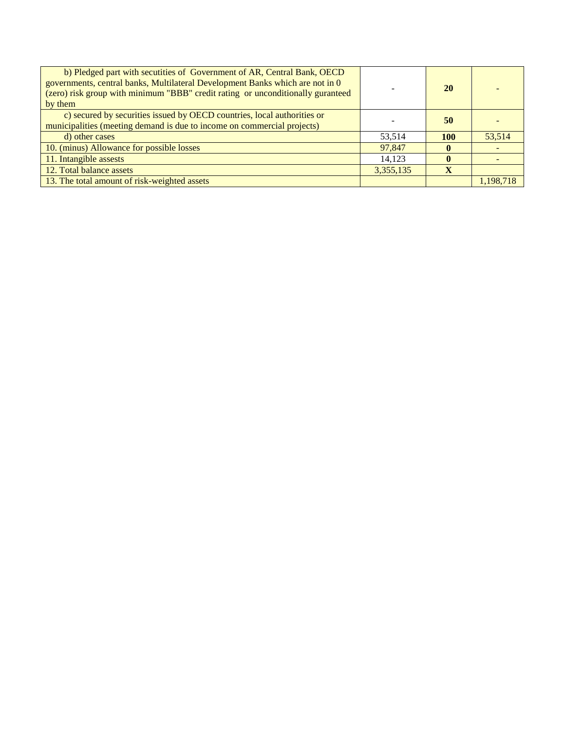| b) Pledged part with secutities of Government of AR, Central Bank, OECD<br>governments, central banks, Multilateral Development Banks which are not in 0<br>(zero) risk group with minimum "BBB" credit rating or unconditionally guranteed<br>by them |           | 20         |           |
|--------------------------------------------------------------------------------------------------------------------------------------------------------------------------------------------------------------------------------------------------------|-----------|------------|-----------|
| c) secured by securities issued by OECD countries, local authorities or<br>municipalities (meeting demand is due to income on commercial projects)                                                                                                     |           | 50         |           |
| d) other cases                                                                                                                                                                                                                                         | 53,514    | <b>100</b> | 53.514    |
| 10. (minus) Allowance for possible losses                                                                                                                                                                                                              | 97,847    |            |           |
| 11. Intangible assests                                                                                                                                                                                                                                 | 14,123    |            |           |
| 12. Total balance assets                                                                                                                                                                                                                               | 3,355,135 |            |           |
| 13. The total amount of risk-weighted assets                                                                                                                                                                                                           |           |            | 1,198,718 |